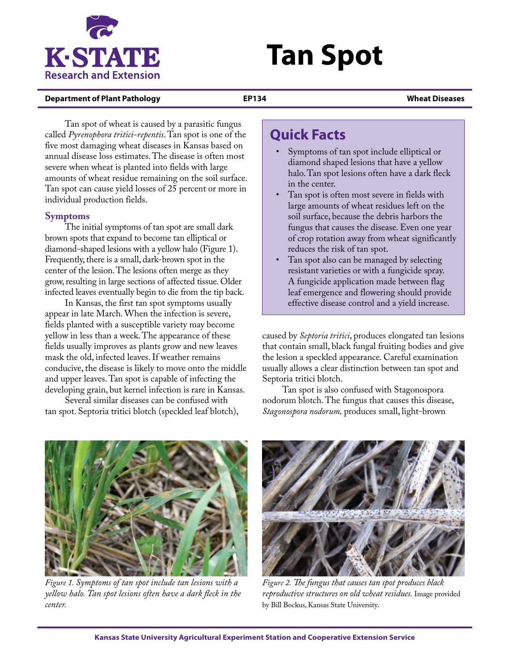

# **Tan Spot**

## **Department of Plant Pathology EP134 Wheat Diseases**

Tan spot of wheat is caused by a parasitic fungus called *Pyrenophora tritici-repentis*. Tan spot is one of the five most damaging wheat diseases in Kansas based on annual disease loss estimates. The disease is often most severe when wheat is planted into fields with large amounts of wheat residue remaining on the soil surface. Tan spot can cause yield losses of 25 percent or more in individual production fields.

# **Symptoms**

The initial symptoms of tan spot are small dark brown spots that expand to become tan elliptical or diamond-shaped lesions with a yellow halo (Figure 1). Frequently, there is a small, dark-brown spot in the center of the lesion. The lesions often merge as they grow, resulting in large sections of affected tissue. Older infected leaves eventually begin to die from the tip back.

In Kansas, the first tan spot symptoms usually appear in late March. When the infection is severe, fields planted with a susceptible variety may become yellow in less than a week. The appearance of these fields usually improves as plants grow and new leaves mask the old, infected leaves. If weather remains conducive, the disease is likely to move onto the middle and upper leaves. Tan spot is capable of infecting the developing grain, but kernel infection is rare in Kansas.

Several similar diseases can be confused with tan spot. Septoria tritici blotch (speckled leaf blotch),

# **Quick Facts**

- Symptoms of tan spot include elliptical or diamond shaped lesions that have a yellow halo. Tan spot lesions often have a dark fleck in the center.
- Tan spot is often most severe in fields with large amounts of wheat residues left on the soil surface, because the debris harbors the fungus that causes the disease. Even one year of crop rotation away from wheat significantly reduces the risk of tan spot.
- Tan spot also can be managed by selecting resistant varieties or with a fungicide spray. A fungicide application made between flag leaf emergence and flowering should provide effective disease control and a yield increase.

caused by *Septoria tritici*, produces elongated tan lesions that contain small, black fungal fruiting bodies and give the lesion a speckled appearance. Careful examination usually allows a clear distinction between tan spot and Septoria tritici blotch.

Tan spot is also confused with Stagonospora nodorum blotch. The fungus that causes this disease, *Stagonospora nodorum,* produces small, light-brown



*Figure 1. Symptoms of tan spot include tan lesions with a yellow halo. Tan spot lesions often have a dark fleck in the center.*



*Figure 2. The fungus that causes tan spot produces black reproductive structures on old wheat residues.* Image provided by Bill Bockus, Kansas State University*.*